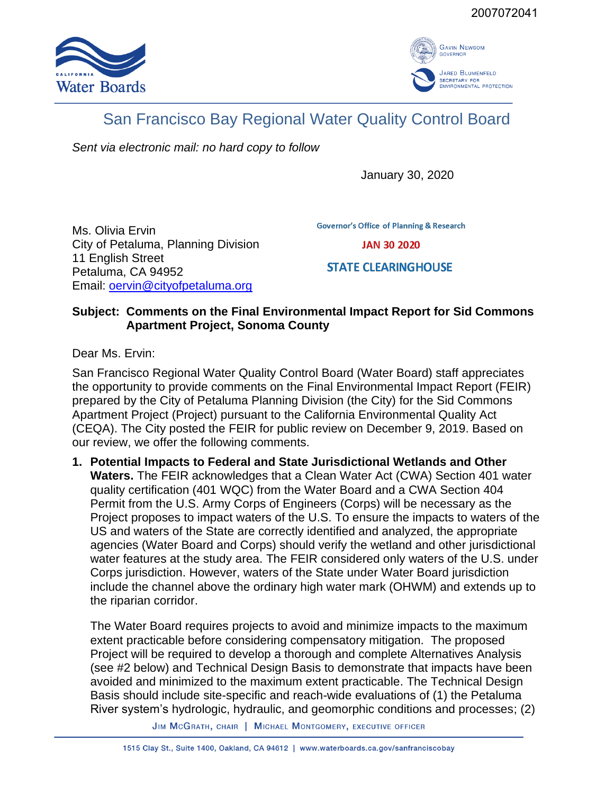



## San Francisco Bay Regional Water Quality Control Board

*Sent via electronic mail: no hard copy to follow*

January 30, 2020

Ms. Olivia Ervin City of Petaluma, Planning Division 11 English Street Petaluma, CA 94952 Email: **oervin@cityofpetaluma.org** 

**Governor's Office of Planning & Research** 

**JAN 30 2020** 

**STATE CLEARINGHOUSE** 

## **Subject: Comments on the Final Environmental Impact Report for Sid Commons Apartment Project, Sonoma County**

Dear Ms. Ervin:

San Francisco Regional Water Quality Control Board (Water Board) staff appreciates the opportunity to provide comments on the Final Environmental Impact Report (FEIR) prepared by the City of Petaluma Planning Division (the City) for the Sid Commons Apartment Project (Project) pursuant to the California Environmental Quality Act (CEQA). The City posted the FEIR for public review on December 9, 2019. Based on our review, we offer the following comments.

**1. Potential Impacts to Federal and State Jurisdictional Wetlands and Other Waters.** The FEIR acknowledges that a Clean Water Act (CWA) Section 401 water quality certification (401 WQC) from the Water Board and a CWA Section 404 Permit from the U.S. Army Corps of Engineers (Corps) will be necessary as the Project proposes to impact waters of the U.S. To ensure the impacts to waters of the US and waters of the State are correctly identified and analyzed, the appropriate agencies (Water Board and Corps) should verify the wetland and other jurisdictional water features at the study area. The FEIR considered only waters of the U.S. under Corps jurisdiction. However, waters of the State under Water Board jurisdiction include the channel above the ordinary high water mark (OHWM) and extends up to the riparian corridor.

The Water Board requires projects to avoid and minimize impacts to the maximum extent practicable before considering compensatory mitigation. The proposed Project will be required to develop a thorough and complete Alternatives Analysis (see #2 below) and Technical Design Basis to demonstrate that impacts have been avoided and minimized to the maximum extent practicable. The Technical Design Basis should include site-specific and reach-wide evaluations of (1) the Petaluma River system's hydrologic, hydraulic, and geomorphic conditions and processes; (2)

JIM MCGRATH, CHAIR | MICHAEL MONTGOMERY, EXECUTIVE OFFICER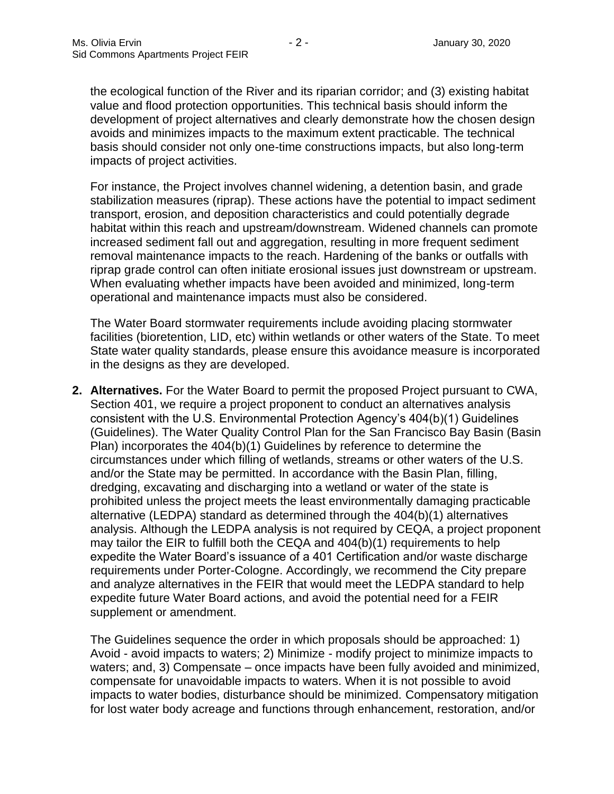the ecological function of the River and its riparian corridor; and (3) existing habitat value and flood protection opportunities. This technical basis should inform the development of project alternatives and clearly demonstrate how the chosen design avoids and minimizes impacts to the maximum extent practicable. The technical basis should consider not only one-time constructions impacts, but also long-term impacts of project activities.

For instance, the Project involves channel widening, a detention basin, and grade stabilization measures (riprap). These actions have the potential to impact sediment transport, erosion, and deposition characteristics and could potentially degrade habitat within this reach and upstream/downstream. Widened channels can promote increased sediment fall out and aggregation, resulting in more frequent sediment removal maintenance impacts to the reach. Hardening of the banks or outfalls with riprap grade control can often initiate erosional issues just downstream or upstream. When evaluating whether impacts have been avoided and minimized, long-term operational and maintenance impacts must also be considered.

The Water Board stormwater requirements include avoiding placing stormwater facilities (bioretention, LID, etc) within wetlands or other waters of the State. To meet State water quality standards, please ensure this avoidance measure is incorporated in the designs as they are developed.

**2. Alternatives.** For the Water Board to permit the proposed Project pursuant to CWA, Section 401, we require a project proponent to conduct an alternatives analysis consistent with the U.S. Environmental Protection Agency's 404(b)(1) Guidelines (Guidelines). The Water Quality Control Plan for the San Francisco Bay Basin (Basin Plan) incorporates the 404(b)(1) Guidelines by reference to determine the circumstances under which filling of wetlands, streams or other waters of the U.S. and/or the State may be permitted. In accordance with the Basin Plan, filling, dredging, excavating and discharging into a wetland or water of the state is prohibited unless the project meets the least environmentally damaging practicable alternative (LEDPA) standard as determined through the 404(b)(1) alternatives analysis. Although the LEDPA analysis is not required by CEQA, a project proponent may tailor the EIR to fulfill both the CEQA and 404(b)(1) requirements to help expedite the Water Board's issuance of a 401 Certification and/or waste discharge requirements under Porter-Cologne. Accordingly, we recommend the City prepare and analyze alternatives in the FEIR that would meet the LEDPA standard to help expedite future Water Board actions, and avoid the potential need for a FEIR supplement or amendment.

The Guidelines sequence the order in which proposals should be approached: 1) Avoid - avoid impacts to waters; 2) Minimize - modify project to minimize impacts to waters; and, 3) Compensate – once impacts have been fully avoided and minimized, compensate for unavoidable impacts to waters. When it is not possible to avoid impacts to water bodies, disturbance should be minimized. Compensatory mitigation for lost water body acreage and functions through enhancement, restoration, and/or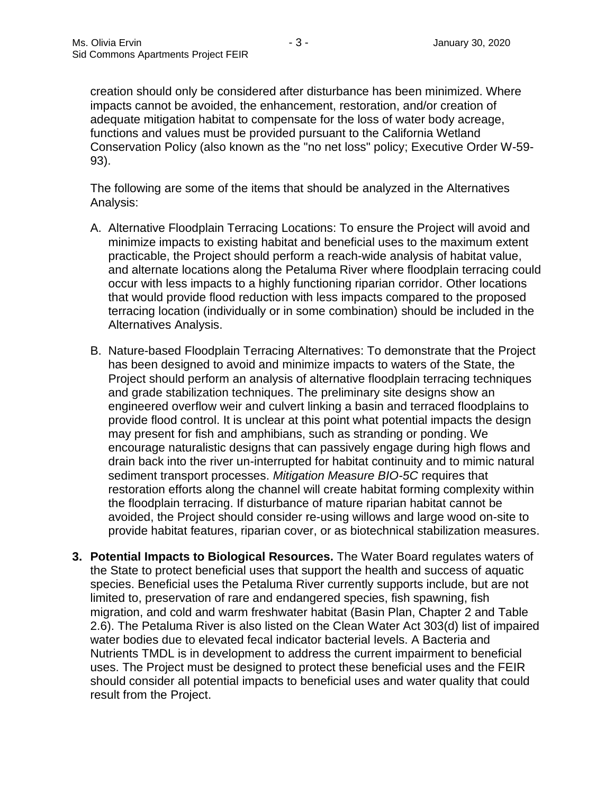creation should only be considered after disturbance has been minimized. Where impacts cannot be avoided, the enhancement, restoration, and/or creation of adequate mitigation habitat to compensate for the loss of water body acreage, functions and values must be provided pursuant to the California Wetland Conservation Policy (also known as the "no net loss" policy; Executive Order W-59- 93).

The following are some of the items that should be analyzed in the Alternatives Analysis:

- A. Alternative Floodplain Terracing Locations: To ensure the Project will avoid and minimize impacts to existing habitat and beneficial uses to the maximum extent practicable, the Project should perform a reach-wide analysis of habitat value, and alternate locations along the Petaluma River where floodplain terracing could occur with less impacts to a highly functioning riparian corridor. Other locations that would provide flood reduction with less impacts compared to the proposed terracing location (individually or in some combination) should be included in the Alternatives Analysis.
- B. Nature-based Floodplain Terracing Alternatives: To demonstrate that the Project has been designed to avoid and minimize impacts to waters of the State, the Project should perform an analysis of alternative floodplain terracing techniques and grade stabilization techniques. The preliminary site designs show an engineered overflow weir and culvert linking a basin and terraced floodplains to provide flood control. It is unclear at this point what potential impacts the design may present for fish and amphibians, such as stranding or ponding. We encourage naturalistic designs that can passively engage during high flows and drain back into the river un-interrupted for habitat continuity and to mimic natural sediment transport processes. *Mitigation Measure BIO-5C* requires that restoration efforts along the channel will create habitat forming complexity within the floodplain terracing. If disturbance of mature riparian habitat cannot be avoided, the Project should consider re-using willows and large wood on-site to provide habitat features, riparian cover, or as biotechnical stabilization measures.
- **3. Potential Impacts to Biological Resources.** The Water Board regulates waters of the State to protect beneficial uses that support the health and success of aquatic species. Beneficial uses the Petaluma River currently supports include, but are not limited to, preservation of rare and endangered species, fish spawning, fish migration, and cold and warm freshwater habitat (Basin Plan, Chapter 2 and Table 2.6). The Petaluma River is also listed on the Clean Water Act 303(d) list of impaired water bodies due to elevated fecal indicator bacterial levels. A Bacteria and Nutrients TMDL is in development to address the current impairment to beneficial uses. The Project must be designed to protect these beneficial uses and the FEIR should consider all potential impacts to beneficial uses and water quality that could result from the Project.